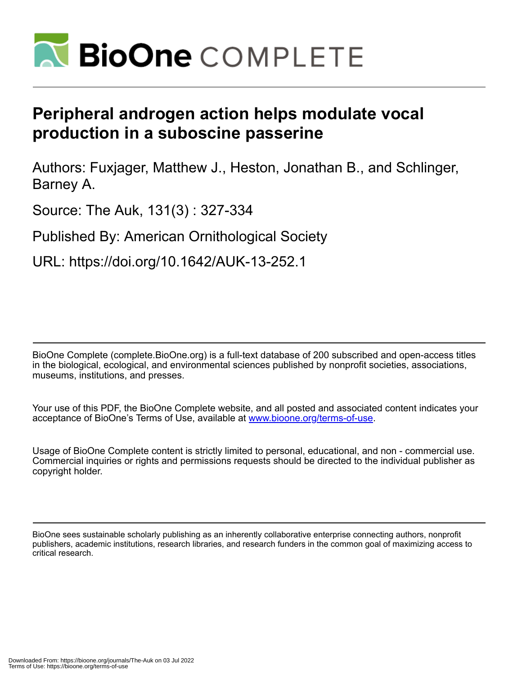

# **Peripheral androgen action helps modulate vocal production in a suboscine passerine**

Authors: Fuxjager, Matthew J., Heston, Jonathan B., and Schlinger, Barney A.

Source: The Auk, 131(3) : 327-334

Published By: American Ornithological Society

URL: https://doi.org/10.1642/AUK-13-252.1

BioOne Complete (complete.BioOne.org) is a full-text database of 200 subscribed and open-access titles in the biological, ecological, and environmental sciences published by nonprofit societies, associations, museums, institutions, and presses.

Your use of this PDF, the BioOne Complete website, and all posted and associated content indicates your acceptance of BioOne's Terms of Use, available at www.bioone.org/terms-of-use.

Usage of BioOne Complete content is strictly limited to personal, educational, and non - commercial use. Commercial inquiries or rights and permissions requests should be directed to the individual publisher as copyright holder.

BioOne sees sustainable scholarly publishing as an inherently collaborative enterprise connecting authors, nonprofit publishers, academic institutions, research libraries, and research funders in the common goal of maximizing access to critical research.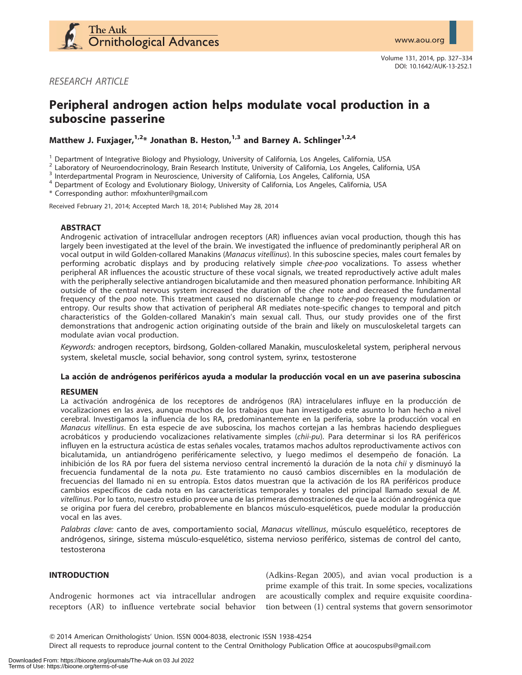

RESEARCH ARTICLE

# Peripheral androgen action helps modulate vocal production in a suboscine passerine

Matthew J. Fuxjager,<sup>1,2\*</sup> Jonathan B. Heston,<sup>1,3</sup> and Barney A. Schlinger<sup>1,2,4</sup>

<sup>1</sup> Department of Integrative Biology and Physiology, University of California, Los Angeles, California, USA<br>
<sup>2</sup> Laboratory of Neuroendocrinology, Brain Research Institute, University of California, Los Angeles, Californ

\* Corresponding author: mfoxhunter@gmail.com

Received February 21, 2014; Accepted March 18, 2014; Published May 28, 2014

# ABSTRACT

Androgenic activation of intracellular androgen receptors (AR) influences avian vocal production, though this has largely been investigated at the level of the brain. We investigated the influence of predominantly peripheral AR on vocal output in wild Golden-collared Manakins (Manacus vitellinus). In this suboscine species, males court females by performing acrobatic displays and by producing relatively simple chee-poo vocalizations. To assess whether peripheral AR influences the acoustic structure of these vocal signals, we treated reproductively active adult males with the peripherally selective antiandrogen bicalutamide and then measured phonation performance. Inhibiting AR outside of the central nervous system increased the duration of the chee note and decreased the fundamental frequency of the poo note. This treatment caused no discernable change to *chee-poo* frequency modulation or entropy. Our results show that activation of peripheral AR mediates note-specific changes to temporal and pitch characteristics of the Golden-collared Manakin's main sexual call. Thus, our study provides one of the first demonstrations that androgenic action originating outside of the brain and likely on musculoskeletal targets can modulate avian vocal production.

Keywords: androgen receptors, birdsong, Golden-collared Manakin, musculoskeletal system, peripheral nervous system, skeletal muscle, social behavior, song control system, syrinx, testosterone

# La acción de andrógenos periféricos ayuda a modular la producción vocal en un ave paserina suboscina

#### RESUMEN

La activación androgénica de los receptores de andrógenos (RA) intracelulares influye en la producción de vocalizaciones en las aves, aunque muchos de los trabajos que han investigado este asunto lo han hecho a nivel cerebral. Investigamos la influencia de los RA, predominantemente en la periferia, sobre la producción vocal en Manacus vitellinus. En esta especie de ave suboscina, los machos cortejan a las hembras haciendo despliegues acrobáticos y produciendo vocalizaciones relativamente simples (chii-pu). Para determinar si los RA periféricos influyen en la estructura acústica de estas señales vocales, tratamos machos adultos reproductivamente activos con bicalutamida, un antiandrógeno periféricamente selectivo, y luego medimos el desempeño de fonación. La inhibición de los RA por fuera del sistema nervioso central incrementó la duración de la nota *chii* y disminuyó la frecuencia fundamental de la nota pu. Este tratamiento no causó cambios discernibles en la modulación de frecuencias del llamado ni en su entropía. Estos datos muestran que la activación de los RA periféricos produce cambios específicos de cada nota en las características temporales y tonales del principal llamado sexual de M. vitellinus. Por lo tanto, nuestro estudio provee una de las primeras demostraciones de que la acción androgénica que se origina por fuera del cerebro, probablemente en blancos músculo-esqueléticos, puede modular la producción vocal en las aves.

Palabras clave: canto de aves, comportamiento social, Manacus vitellinus, músculo esquelético, receptores de andrógenos, siringe, sistema músculo-esquelético, sistema nervioso periférico, sistemas de control del canto, testosterona

# INTRODUCTION

Androgenic hormones act via intracellular androgen receptors (AR) to influence vertebrate social behavior

(Adkins-Regan 2005), and avian vocal production is a prime example of this trait. In some species, vocalizations are acoustically complex and require exquisite coordination between (1) central systems that govern sensorimotor

Direct all requests to reproduce journal content to the Central Ornithology Publication Office at aoucospubs@gmail.com

Q 2014 American Ornithologists' Union. ISSN 0004-8038, electronic ISSN 1938-4254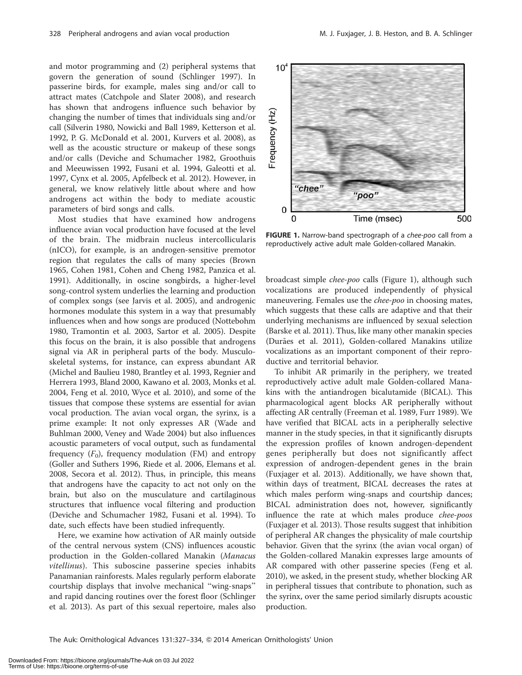and motor programming and (2) peripheral systems that govern the generation of sound (Schlinger 1997). In passerine birds, for example, males sing and/or call to attract mates (Catchpole and Slater 2008), and research has shown that androgens influence such behavior by changing the number of times that individuals sing and/or call (Silverin 1980, Nowicki and Ball 1989, Ketterson et al. 1992, P. G. McDonald et al. 2001, Kurvers et al. 2008), as well as the acoustic structure or makeup of these songs and/or calls (Deviche and Schumacher 1982, Groothuis and Meeuwissen 1992, Fusani et al. 1994, Galeotti et al. 1997, Cynx et al. 2005, Apfelbeck et al. 2012). However, in general, we know relatively little about where and how androgens act within the body to mediate acoustic parameters of bird songs and calls.

Most studies that have examined how androgens influence avian vocal production have focused at the level of the brain. The midbrain nucleus intercollicularis (nICO), for example, is an androgen-sensitive premotor region that regulates the calls of many species (Brown 1965, Cohen 1981, Cohen and Cheng 1982, Panzica et al. 1991). Additionally, in oscine songbirds, a higher-level song-control system underlies the learning and production of complex songs (see Jarvis et al. 2005), and androgenic hormones modulate this system in a way that presumably influences when and how songs are produced (Nottebohm 1980, Tramontin et al. 2003, Sartor et al. 2005). Despite this focus on the brain, it is also possible that androgens signal via AR in peripheral parts of the body. Musculoskeletal systems, for instance, can express abundant AR (Michel and Baulieu 1980, Brantley et al. 1993, Regnier and Herrera 1993, Bland 2000, Kawano et al. 2003, Monks et al. 2004, Feng et al. 2010, Wyce et al. 2010), and some of the tissues that compose these systems are essential for avian vocal production. The avian vocal organ, the syrinx, is a prime example: It not only expresses AR (Wade and Buhlman 2000, Veney and Wade 2004) but also influences acoustic parameters of vocal output, such as fundamental frequency  $(F_0)$ , frequency modulation (FM) and entropy (Goller and Suthers 1996, Riede et al. 2006, Elemans et al. 2008, Secora et al. 2012). Thus, in principle, this means that androgens have the capacity to act not only on the brain, but also on the musculature and cartilaginous structures that influence vocal filtering and production (Deviche and Schumacher 1982, Fusani et al. 1994). To date, such effects have been studied infrequently.

Here, we examine how activation of AR mainly outside of the central nervous system (CNS) influences acoustic production in the Golden-collared Manakin (Manacus vitellinus). This suboscine passerine species inhabits Panamanian rainforests. Males regularly perform elaborate courtship displays that involve mechanical ''wing-snaps'' and rapid dancing routines over the forest floor (Schlinger et al. 2013). As part of this sexual repertoire, males also



FIGURE 1. Narrow-band spectrograph of a chee-poo call from a reproductively active adult male Golden-collared Manakin.

broadcast simple chee-poo calls (Figure 1), although such vocalizations are produced independently of physical maneuvering. Females use the *chee-poo* in choosing mates, which suggests that these calls are adaptive and that their underlying mechanisms are influenced by sexual selection (Barske et al. 2011). Thus, like many other manakin species (Durães et al. 2011), Golden-collared Manakins utilize vocalizations as an important component of their reproductive and territorial behavior.

To inhibit AR primarily in the periphery, we treated reproductively active adult male Golden-collared Manakins with the antiandrogen bicalutamide (BICAL). This pharmacological agent blocks AR peripherally without affecting AR centrally (Freeman et al. 1989, Furr 1989). We have verified that BICAL acts in a peripherally selective manner in the study species, in that it significantly disrupts the expression profiles of known androgen-dependent genes peripherally but does not significantly affect expression of androgen-dependent genes in the brain (Fuxjager et al. 2013). Additionally, we have shown that, within days of treatment, BICAL decreases the rates at which males perform wing-snaps and courtship dances; BICAL administration does not, however, significantly influence the rate at which males produce chee-poos (Fuxjager et al. 2013). Those results suggest that inhibition of peripheral AR changes the physicality of male courtship behavior. Given that the syrinx (the avian vocal organ) of the Golden-collared Manakin expresses large amounts of AR compared with other passerine species (Feng et al. 2010), we asked, in the present study, whether blocking AR in peripheral tissues that contribute to phonation, such as the syrinx, over the same period similarly disrupts acoustic production.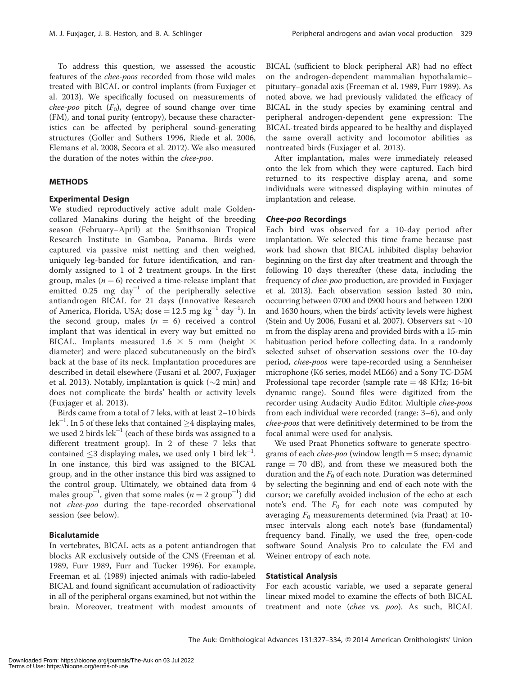To address this question, we assessed the acoustic features of the chee-poos recorded from those wild males treated with BICAL or control implants (from Fuxjager et al. 2013). We specifically focused on measurements of *chee-poo* pitch  $(F_0)$ , degree of sound change over time (FM), and tonal purity (entropy), because these characteristics can be affected by peripheral sound-generating structures (Goller and Suthers 1996, Riede et al. 2006, Elemans et al. 2008, Secora et al. 2012). We also measured the duration of the notes within the chee-poo.

# METHODS

#### Experimental Design

We studied reproductively active adult male Goldencollared Manakins during the height of the breeding season (February–April) at the Smithsonian Tropical Research Institute in Gamboa, Panama. Birds were captured via passive mist netting and then weighed, uniquely leg-banded for future identification, and randomly assigned to 1 of 2 treatment groups. In the first group, males ( $n = 6$ ) received a time-release implant that emitted  $0.25$  mg day<sup>-1</sup> of the peripherally selective antiandrogen BICAL for 21 days (Innovative Research of America, Florida, USA; dose = 12.5 mg kg $^{-1}$  day $^{-1}$ ). In the second group, males  $(n = 6)$  received a control implant that was identical in every way but emitted no BICAL. Implants measured 1.6  $\times$  5 mm (height  $\times$ diameter) and were placed subcutaneously on the bird's back at the base of its neck. Implantation procedures are described in detail elsewhere (Fusani et al. 2007, Fuxjager et al. 2013). Notably, implantation is quick ( $\sim$ 2 min) and does not complicate the birds' health or activity levels (Fuxjager et al. 2013).

Birds came from a total of 7 leks, with at least 2–10 birds lek $^{-1}$ . In 5 of these leks that contained  $\geq$ 4 displaying males, we used 2 birds  $\text{lek}^{-1}$  (each of these birds was assigned to a different treatment group). In 2 of these 7 leks that contained  $\leq$ 3 displaying males, we used only 1 bird lek<sup>-1</sup>. In one instance, this bird was assigned to the BICAL group, and in the other instance this bird was assigned to the control group. Ultimately, we obtained data from 4 males group<sup>-1</sup>, given that some males ( $n = 2$  group<sup>-1</sup>) did not chee-poo during the tape-recorded observational session (see below).

#### Bicalutamide

In vertebrates, BICAL acts as a potent antiandrogen that blocks AR exclusively outside of the CNS (Freeman et al. 1989, Furr 1989, Furr and Tucker 1996). For example, Freeman et al. (1989) injected animals with radio-labeled BICAL and found significant accumulation of radioactivity in all of the peripheral organs examined, but not within the brain. Moreover, treatment with modest amounts of BICAL (sufficient to block peripheral AR) had no effect on the androgen-dependent mammalian hypothalamic– pituitary–gonadal axis (Freeman et al. 1989, Furr 1989). As noted above, we had previously validated the efficacy of BICAL in the study species by examining central and peripheral androgen-dependent gene expression: The BICAL-treated birds appeared to be healthy and displayed the same overall activity and locomotor abilities as nontreated birds (Fuxjager et al. 2013).

After implantation, males were immediately released onto the lek from which they were captured. Each bird returned to its respective display arena, and some individuals were witnessed displaying within minutes of implantation and release.

#### Chee-poo Recordings

Each bird was observed for a 10-day period after implantation. We selected this time frame because past work had shown that BICAL inhibited display behavior beginning on the first day after treatment and through the following 10 days thereafter (these data, including the frequency of chee-poo production, are provided in Fuxjager et al. 2013). Each observation session lasted 30 min, occurring between 0700 and 0900 hours and between 1200 and 1630 hours, when the birds' activity levels were highest (Stein and Uy 2006, Fusani et al. 2007). Observers sat  $\sim$ 10 m from the display arena and provided birds with a 15-min habituation period before collecting data. In a randomly selected subset of observation sessions over the 10-day period, chee-poos were tape-recorded using a Sennheiser microphone (K6 series, model ME66) and a Sony TC-D5M Professional tape recorder (sample rate  $=$  48 KHz; 16-bit dynamic range). Sound files were digitized from the recorder using Audacity Audio Editor. Multiple chee-poos from each individual were recorded (range: 3–6), and only chee-poos that were definitively determined to be from the focal animal were used for analysis.

We used Praat Phonetics software to generate spectrograms of each *chee-poo* (window length  $=$  5 msec; dynamic range  $= 70$  dB), and from these we measured both the duration and the  $F_0$  of each note. Duration was determined by selecting the beginning and end of each note with the cursor; we carefully avoided inclusion of the echo at each note's end. The  $F_0$  for each note was computed by averaging  $F_0$  measurements determined (via Praat) at 10msec intervals along each note's base (fundamental) frequency band. Finally, we used the free, open-code software Sound Analysis Pro to calculate the FM and Weiner entropy of each note.

#### Statistical Analysis

For each acoustic variable, we used a separate general linear mixed model to examine the effects of both BICAL treatment and note (chee vs. poo). As such, BICAL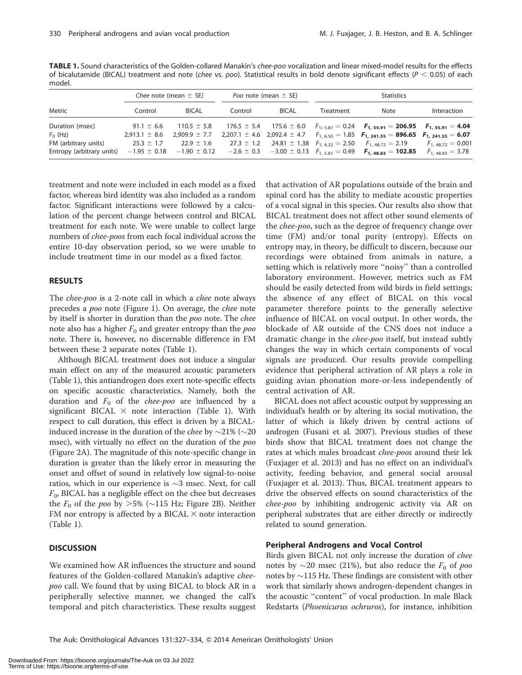| Metric                    | Chee note (mean $\pm$ SE)           |                                   | Poo note (mean $\pm$ SE) |              | <b>Statistics</b> |                                                                                                 |                      |
|---------------------------|-------------------------------------|-----------------------------------|--------------------------|--------------|-------------------|-------------------------------------------------------------------------------------------------|----------------------|
|                           | Control                             | <b>BICAL</b>                      | Control                  | <b>BICAL</b> | Treatment         | Note                                                                                            | Interaction          |
| Duration (msec)           | $91.1 \pm 6.6$                      | $110.5 \pm 5.8$                   |                          |              |                   | $176.5 \pm 5.4$ $175.6 \pm 6.0$ $F_{1,5.87} = 0.24$ $F_{1,55.91} = 206.95$ $F_{1,55.91} = 4.04$ |                      |
| $F_0$ (Hz)                | $2,913.1 \pm 8.6$ 2,909.9 $\pm$ 7.7 |                                   |                          |              |                   | 2,207.1 ± 4.6 2,092.4 ± 4.7 $F_{1.650} = 1.85$ $F_{1.241.55} = 896.65$ $F_{1.241.55} = 6.07$    |                      |
| FM (arbitrary units)      | $25.3 \pm 1.7$                      | $22.9 \pm 1.6$                    |                          |              |                   | 27.3 ± 1.2 24.81 ± 1.38 $F_{1.432} = 2.50$ $F_{1.48,72} = 2.19$ $F_{1.48,72} = 0.001$           |                      |
| Entropy (arbitrary units) |                                     | $-1.95 \pm 0.18$ $-1.90 \pm 0.12$ |                          |              |                   | $-2.6 \pm 0.3$ $-3.00 \pm 0.13$ $F_{1.5.81} = 0.49$ $F_{1.48.83} = 102.85$                      | $F_{1.48,83} = 3.78$ |

TABLE 1. Sound characteristics of the Golden-collared Manakin's chee-poo vocalization and linear mixed-model results for the effects of bicalutamide (BICAL) treatment and note (chee vs. poo). Statistical results in bold denote significant effects ( $P < 0.05$ ) of each model.

treatment and note were included in each model as a fixed factor, whereas bird identity was also included as a random factor. Significant interactions were followed by a calculation of the percent change between control and BICAL treatment for each note. We were unable to collect large numbers of chee-poos from each focal individual across the entire 10-day observation period, so we were unable to include treatment time in our model as a fixed factor.

# RESULTS

The chee-poo is a 2-note call in which a chee note always precedes a poo note (Figure 1). On average, the chee note by itself is shorter in duration than the poo note. The chee note also has a higher  $F_0$  and greater entropy than the *poo* note. There is, however, no discernable difference in FM between these 2 separate notes (Table 1).

Although BICAL treatment does not induce a singular main effect on any of the measured acoustic parameters (Table 1), this antiandrogen does exert note-specific effects on specific acoustic characteristics. Namely, both the duration and  $F_0$  of the *chee-poo* are influenced by a significant BICAL  $\times$  note interaction (Table 1). With respect to call duration, this effect is driven by a BICALinduced increase in the duration of the *chee* by  $\sim$ 21% ( $\sim$ 20 msec), with virtually no effect on the duration of the *poo* (Figure 2A). The magnitude of this note-specific change in duration is greater than the likely error in measuring the onset and offset of sound in relatively low signal-to-noise ratios, which in our experience is  $\sim$ 3 msec. Next, for call  $F_0$ , BICAL has a negligible effect on the chee but decreases the  $F_0$  of the *poo* by  $>5\%$  ( $\sim$ 115 Hz; Figure 2B). Neither FM nor entropy is affected by a BICAL  $\times$  note interaction (Table 1).

# **DISCUSSION**

We examined how AR influences the structure and sound features of the Golden-collared Manakin's adaptive cheepoo call. We found that by using BICAL to block AR in a peripherally selective manner, we changed the call's temporal and pitch characteristics. These results suggest that activation of AR populations outside of the brain and spinal cord has the ability to mediate acoustic properties of a vocal signal in this species. Our results also show that BICAL treatment does not affect other sound elements of the chee-poo, such as the degree of frequency change over time (FM) and/or tonal purity (entropy). Effects on entropy may, in theory, be difficult to discern, because our recordings were obtained from animals in nature, a setting which is relatively more ''noisy'' than a controlled laboratory environment. However, metrics such as FM should be easily detected from wild birds in field settings; the absence of any effect of BICAL on this vocal parameter therefore points to the generally selective influence of BICAL on vocal output. In other words, the blockade of AR outside of the CNS does not induce a dramatic change in the chee-poo itself, but instead subtly changes the way in which certain components of vocal signals are produced. Our results provide compelling evidence that peripheral activation of AR plays a role in guiding avian phonation more-or-less independently of central activation of AR.

BICAL does not affect acoustic output by suppressing an individual's health or by altering its social motivation, the latter of which is likely driven by central actions of androgen (Fusani et al. 2007). Previous studies of these birds show that BICAL treatment does not change the rates at which males broadcast chee-poos around their lek (Fuxjager et al. 2013) and has no effect on an individual's activity, feeding behavior, and general social arousal (Fuxjager et al. 2013). Thus, BICAL treatment appears to drive the observed effects on sound characteristics of the chee-poo by inhibiting androgenic activity via AR on peripheral substrates that are either directly or indirectly related to sound generation.

# Peripheral Androgens and Vocal Control

Birds given BICAL not only increase the duration of chee notes by  $\sim$ 20 msec (21%), but also reduce the  $F_0$  of poo notes by  $\sim$ 115 Hz. These findings are consistent with other work that similarly shows androgen-dependent changes in the acoustic ''content'' of vocal production. In male Black Redstarts (Phoenicurus ochruros), for instance, inhibition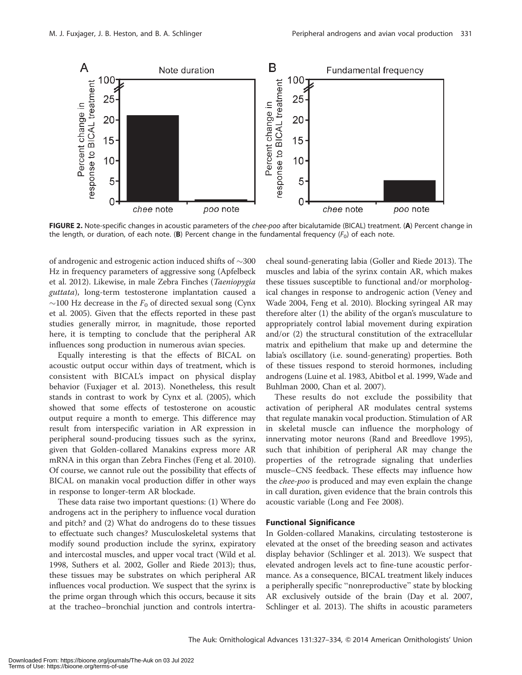

FIGURE 2. Note-specific changes in acoustic parameters of the *chee-poo* after bicalutamide (BICAL) treatment. (A) Percent change in the length, or duration, of each note. (B) Percent change in the fundamental frequency  $(F_0)$  of each note.

of androgenic and estrogenic action induced shifts of  $\sim$ 300 Hz in frequency parameters of aggressive song (Apfelbeck et al. 2012). Likewise, in male Zebra Finches (Taeniopygia guttata), long-term testosterone implantation caused a  $\sim$ 100 Hz decrease in the  $F_0$  of directed sexual song (Cynx et al. 2005). Given that the effects reported in these past studies generally mirror, in magnitude, those reported here, it is tempting to conclude that the peripheral AR influences song production in numerous avian species.

Equally interesting is that the effects of BICAL on acoustic output occur within days of treatment, which is consistent with BICAL's impact on physical display behavior (Fuxjager et al. 2013). Nonetheless, this result stands in contrast to work by Cynx et al. (2005), which showed that some effects of testosterone on acoustic output require a month to emerge. This difference may result from interspecific variation in AR expression in peripheral sound-producing tissues such as the syrinx, given that Golden-collared Manakins express more AR mRNA in this organ than Zebra Finches (Feng et al. 2010). Of course, we cannot rule out the possibility that effects of BICAL on manakin vocal production differ in other ways in response to longer-term AR blockade.

These data raise two important questions: (1) Where do androgens act in the periphery to influence vocal duration and pitch? and (2) What do androgens do to these tissues to effectuate such changes? Musculoskeletal systems that modify sound production include the syrinx, expiratory and intercostal muscles, and upper vocal tract (Wild et al. 1998, Suthers et al. 2002, Goller and Riede 2013); thus, these tissues may be substrates on which peripheral AR influences vocal production. We suspect that the syrinx is the prime organ through which this occurs, because it sits at the tracheo–bronchial junction and controls intertracheal sound-generating labia (Goller and Riede 2013). The muscles and labia of the syrinx contain AR, which makes these tissues susceptible to functional and/or morphological changes in response to androgenic action (Veney and Wade 2004, Feng et al. 2010). Blocking syringeal AR may therefore alter (1) the ability of the organ's musculature to appropriately control labial movement during expiration and/or (2) the structural constitution of the extracellular matrix and epithelium that make up and determine the labia's oscillatory (i.e. sound-generating) properties. Both of these tissues respond to steroid hormones, including androgens (Luine et al. 1983, Abitbol et al. 1999, Wade and Buhlman 2000, Chan et al. 2007).

These results do not exclude the possibility that activation of peripheral AR modulates central systems that regulate manakin vocal production. Stimulation of AR in skeletal muscle can influence the morphology of innervating motor neurons (Rand and Breedlove 1995), such that inhibition of peripheral AR may change the properties of the retrograde signaling that underlies muscle–CNS feedback. These effects may influence how the chee-poo is produced and may even explain the change in call duration, given evidence that the brain controls this acoustic variable (Long and Fee 2008).

# Functional Significance

In Golden-collared Manakins, circulating testosterone is elevated at the onset of the breeding season and activates display behavior (Schlinger et al. 2013). We suspect that elevated androgen levels act to fine-tune acoustic performance. As a consequence, BICAL treatment likely induces a peripherally specific "nonreproductive" state by blocking AR exclusively outside of the brain (Day et al. 2007, Schlinger et al. 2013). The shifts in acoustic parameters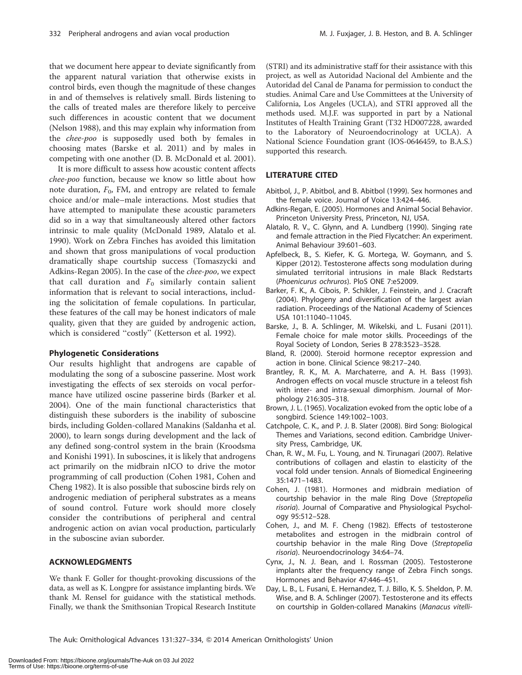that we document here appear to deviate significantly from the apparent natural variation that otherwise exists in control birds, even though the magnitude of these changes in and of themselves is relatively small. Birds listening to the calls of treated males are therefore likely to perceive such differences in acoustic content that we document (Nelson 1988), and this may explain why information from the chee-poo is supposedly used both by females in choosing mates (Barske et al. 2011) and by males in competing with one another (D. B. McDonald et al. 2001).

It is more difficult to assess how acoustic content affects chee-poo function, because we know so little about how note duration,  $F_0$ , FM, and entropy are related to female choice and/or male–male interactions. Most studies that have attempted to manipulate these acoustic parameters did so in a way that simultaneously altered other factors intrinsic to male quality (McDonald 1989, Alatalo et al. 1990). Work on Zebra Finches has avoided this limitation and shown that gross manipulations of vocal production dramatically shape courtship success (Tomaszycki and Adkins-Regan 2005). In the case of the chee-poo, we expect that call duration and  $F_0$  similarly contain salient information that is relevant to social interactions, including the solicitation of female copulations. In particular, these features of the call may be honest indicators of male quality, given that they are guided by androgenic action, which is considered "costly" (Ketterson et al. 1992).

#### Phylogenetic Considerations

Our results highlight that androgens are capable of modulating the song of a suboscine passerine. Most work investigating the effects of sex steroids on vocal performance have utilized oscine passerine birds (Barker et al. 2004). One of the main functional characteristics that distinguish these suborders is the inability of suboscine birds, including Golden-collared Manakins (Saldanha et al. 2000), to learn songs during development and the lack of any defined song-control system in the brain (Kroodsma and Konishi 1991). In suboscines, it is likely that androgens act primarily on the midbrain nICO to drive the motor programming of call production (Cohen 1981, Cohen and Cheng 1982). It is also possible that suboscine birds rely on androgenic mediation of peripheral substrates as a means of sound control. Future work should more closely consider the contributions of peripheral and central androgenic action on avian vocal production, particularly in the suboscine avian suborder.

#### ACKNOWLEDGMENTS

We thank F. Goller for thought-provoking discussions of the data, as well as K. Longpre for assistance implanting birds. We thank M. Rensel for guidance with the statistical methods. Finally, we thank the Smithsonian Tropical Research Institute

(STRI) and its administrative staff for their assistance with this project, as well as Autoridad Nacional del Ambiente and the Autoridad del Canal de Panama for permission to conduct the studies. Animal Care and Use Committees at the University of California, Los Angeles (UCLA), and STRI approved all the methods used. M.J.F. was supported in part by a National Institutes of Health Training Grant (T32 HD007228, awarded to the Laboratory of Neuroendocrinology at UCLA). A National Science Foundation grant (IOS-0646459, to B.A.S.) supported this research.

#### LITERATURE CITED

- Abitbol, J., P. Abitbol, and B. Abitbol (1999). Sex hormones and the female voice. Journal of Voice 13:424–446.
- Adkins-Regan, E. (2005). Hormones and Animal Social Behavior. Princeton University Press, Princeton, NJ, USA.
- Alatalo, R. V., C. Glynn, and A. Lundberg (1990). Singing rate and female attraction in the Pied Flycatcher: An experiment. Animal Behaviour 39:601–603.
- Apfelbeck, B., S. Kiefer, K. G. Mortega, W. Goymann, and S. Kipper (2012). Testosterone affects song modulation during simulated territorial intrusions in male Black Redstarts (Phoenicurus ochruros). PloS ONE 7:e52009.
- Barker, F. K., A. Cibois, P. Schikler, J. Feinstein, and J. Cracraft (2004). Phylogeny and diversification of the largest avian radiation. Proceedings of the National Academy of Sciences USA 101:11040–11045.
- Barske, J., B. A. Schlinger, M. Wikelski, and L. Fusani (2011). Female choice for male motor skills. Proceedings of the Royal Society of London, Series B 278:3523–3528.
- Bland, R. (2000). Steroid hormone receptor expression and action in bone. Clinical Science 98:217–240.
- Brantley, R. K., M. A. Marchaterre, and A. H. Bass (1993). Androgen effects on vocal muscle structure in a teleost fish with inter- and intra-sexual dimorphism. Journal of Morphology 216:305–318.
- Brown, J. L. (1965). Vocalization evoked from the optic lobe of a songbird. Science 149:1002–1003.
- Catchpole, C. K., and P. J. B. Slater (2008). Bird Song: Biological Themes and Variations, second edition. Cambridge University Press, Cambridge, UK.
- Chan, R. W., M. Fu, L. Young, and N. Tirunagari (2007). Relative contributions of collagen and elastin to elasticity of the vocal fold under tension. Annals of Biomedical Engineering 35:1471–1483.
- Cohen, J. (1981). Hormones and midbrain mediation of courtship behavior in the male Ring Dove (Streptopelia risoria). Journal of Comparative and Physiological Psychology 95:512–528.
- Cohen, J., and M. F. Cheng (1982). Effects of testosterone metabolites and estrogen in the midbrain control of courtship behavior in the male Ring Dove (Streptopelia risoria). Neuroendocrinology 34:64–74.
- Cynx, J., N. J. Bean, and I. Rossman (2005). Testosterone implants alter the frequency range of Zebra Finch songs. Hormones and Behavior 47:446–451.
- Day, L. B., L. Fusani, E. Hernandez, T. J. Billo, K. S. Sheldon, P. M. Wise, and B. A. Schlinger (2007). Testosterone and its effects on courtship in Golden-collared Manakins (Manacus vitelli-

The Auk: Ornithological Advances 131:327-334, © 2014 American Ornithologists' Union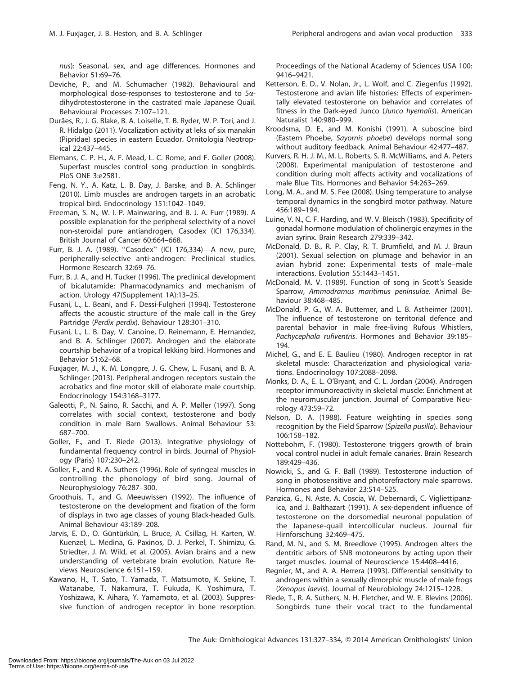nus): Seasonal, sex, and age differences. Hormones and Behavior 51:69–76.

- Deviche, P., and M. Schumacher (1982). Behavioural and morphological dose-responses to testosterone and to 5adihydrotestosterone in the castrated male Japanese Quail. Behavioural Processes 7:107–121.
- Durães, R., J. G. Blake, B. A. Loiselle, T. B. Ryder, W. P. Tori, and J. R. Hidalgo (2011). Vocalization activity at leks of six manakin (Pipridae) species in eastern Ecuador. Ornitologia Neotropical 22:437–445.
- Elemans, C. P. H., A. F. Mead, L. C. Rome, and F. Goller (2008). Superfast muscles control song production in songbirds. PloS ONE 3:e2581.
- Feng, N. Y., A. Katz, L. B. Day, J. Barske, and B. A. Schlinger (2010). Limb muscles are androgen targets in an acrobatic tropical bird. Endocrinology 151:1042–1049.
- Freeman, S. N., W. I. P. Mainwaring, and B. J. A. Furr (1989). A possible explanation for the peripheral selectivity of a novel non-steroidal pure antiandrogen, Casodex (ICI 176,334). British Journal of Cancer 60:664–668.
- Furr, B. J. A. (1989). ''Casodex'' (ICI 176,334)—A new, pure, peripherally-selective anti-androgen: Preclinical studies. Hormone Research 32:69–76.
- Furr, B. J. A., and H. Tucker (1996). The preclinical development of bicalutamide: Pharmacodynamics and mechanism of action. Urology 47(Supplement 1A):13–25.
- Fusani, L., L. Beani, and F. Dessi-Fulgheri (1994). Testosterone affects the acoustic structure of the male call in the Grey Partridge (Perdix perdix). Behaviour 128:301–310.
- Fusani, L., L. B. Day, V. Canoine, D. Reinemann, E. Hernandez, and B. A. Schlinger (2007). Androgen and the elaborate courtship behavior of a tropical lekking bird. Hormones and Behavior 51:62–68.
- Fuxjager, M. J., K. M. Longpre, J. G. Chew, L. Fusani, and B. A. Schlinger (2013). Peripheral androgen receptors sustain the acrobatics and fine motor skill of elaborate male courtship. Endocrinology 154:3168–3177.
- Galeotti, P., N. Saino, R. Sacchi, and A. P. Møller (1997). Song correlates with social context, testosterone and body condition in male Barn Swallows. Animal Behaviour 53: 687–700.
- Goller, F., and T. Riede (2013). Integrative physiology of fundamental frequency control in birds. Journal of Physiology (Paris) 107:230–242.
- Goller, F., and R. A. Suthers (1996). Role of syringeal muscles in controlling the phonology of bird song. Journal of Neurophysiology 76:287–300.
- Groothuis, T., and G. Meeuwissen (1992). The influence of testosterone on the development and fixation of the form of displays in two age classes of young Black-headed Gulls. Animal Behaviour 43:189–208.
- Jarvis, E. D., O. Güntürkün, L. Bruce, A. Csillag, H. Karten, W. Kuenzel, L. Medina, G. Paxinos, D. J. Perkel, T. Shimizu, G. Striedter, J. M. Wild, et al. (2005). Avian brains and a new understanding of vertebrate brain evolution. Nature Reviews Neuroscience 6:151–159.
- Kawano, H., T. Sato, T. Yamada, T. Matsumoto, K. Sekine, T. Watanabe, T. Nakamura, T. Fukuda, K. Yoshimura, T. Yoshizawa, K. Aihara, Y. Yamamoto, et al. (2003). Suppressive function of androgen receptor in bone resorption.

Proceedings of the National Academy of Sciences USA 100: 9416–9421.

- Ketterson, E. D., V. Nolan, Jr., L. Wolf, and C. Ziegenfus (1992). Testosterone and avian life histories: Effects of experimentally elevated testosterone on behavior and correlates of fitness in the Dark-eyed Junco (Junco hyemalis). American Naturalist 140:980–999.
- Kroodsma, D. E., and M. Konishi (1991). A suboscine bird (Eastern Phoebe, Sayornis phoebe) develops normal song without auditory feedback. Animal Behaviour 42:477–487.
- Kurvers, R. H. J. M., M. L. Roberts, S. R. McWilliams, and A. Peters (2008). Experimental manipulation of testosterone and condition during molt affects activity and vocalizations of male Blue Tits. Hormones and Behavior 54:263–269.
- Long, M. A., and M. S. Fee (2008). Using temperature to analyse temporal dynamics in the songbird motor pathway. Nature 456:189–194.
- Luine, V. N., C. F. Harding, and W. V. Bleisch (1983). Specificity of gonadal hormone modulation of cholinergic enzymes in the avian syrinx. Brain Research 279:339–342.
- McDonald, D. B., R. P. Clay, R. T. Brumfield, and M. J. Braun (2001). Sexual selection on plumage and behavior in an avian hybrid zone: Experimental tests of male–male interactions. Evolution 55:1443–1451.
- McDonald, M. V. (1989). Function of song in Scott's Seaside Sparrow, Ammodramus maritimus peninsulae. Animal Behaviour 38:468–485.
- McDonald, P. G., W. A. Buttemer, and L. B. Astheimer (2001). The influence of testosterone on territorial defence and parental behavior in male free-living Rufous Whistlers, Pachycephala rufiventris. Hormones and Behavior 39:185– 194.
- Michel, G., and E. E. Baulieu (1980). Androgen receptor in rat skeletal muscle: Characterization and physiological variations. Endocrinology 107:2088–2098.
- Monks, D. A., E. L. O'Bryant, and C. L. Jordan (2004). Androgen receptor immunoreactivity in skeletal muscle: Enrichment at the neuromuscular junction. Journal of Comparative Neurology 473:59–72.
- Nelson, D. A. (1988). Feature weighting in species song recognition by the Field Sparrow (Spizella pusilla). Behaviour 106:158–182.
- Nottebohm, F. (1980). Testosterone triggers growth of brain vocal control nuclei in adult female canaries. Brain Research 189:429–436.
- Nowicki, S., and G. F. Ball (1989). Testosterone induction of song in photosensitive and photorefractory male sparrows. Hormones and Behavior 23:514–525.
- Panzica, G., N. Aste, A. Coscia, W. Debernardi, C. Vigliettipanzica, and J. Balthazart (1991). A sex-dependent influence of testosterone on the dorsomedial neuronal population of the Japanese-quail intercollicular nucleus. Journal für Hirnforschung 32:469–475.
- Rand, M. N., and S. M. Breedlove (1995). Androgen alters the dentritic arbors of SNB motoneurons by acting upon their target muscles. Journal of Neuroscience 15:4408–4416.
- Regnier, M., and A. A. Herrera (1993). Differential sensitivity to androgens within a sexually dimorphic muscle of male frogs (Xenopus laevis). Journal of Neurobiology 24:1215–1228.
- Riede, T., R. A. Suthers, N. H. Fletcher, and W. E. Blevins (2006). Songbirds tune their vocal tract to the fundamental